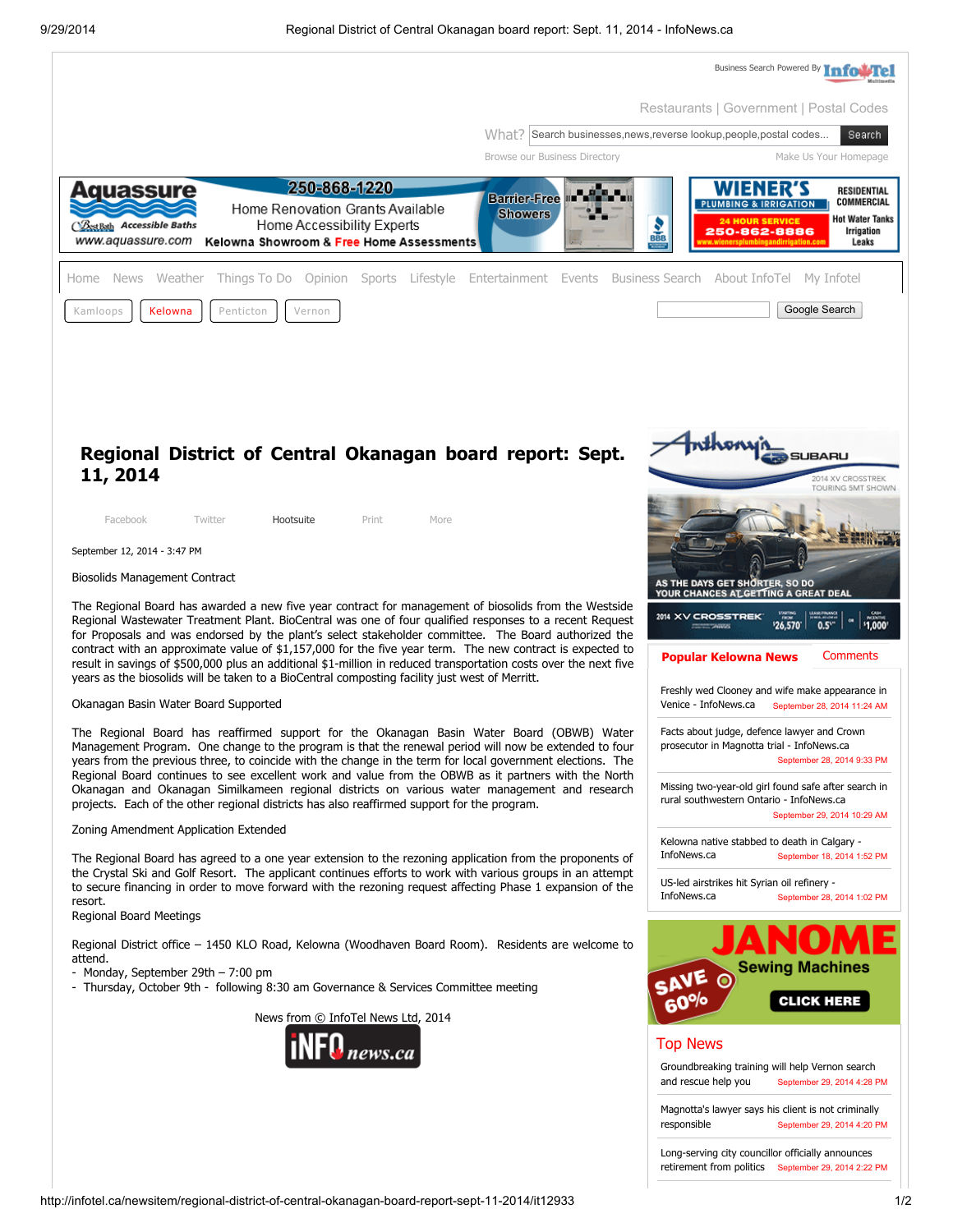

http://infotel.ca/newsitem/regional-district-of-central-okanagan-board-report-sept-11-2014/it12933 1/2

retirement from politics September 29, 2014 2:22 PM [Long-serving](http://infotel.ca/newsitem/long-serving-city-councillor-officially-announces-retirement-from-politics/it13364) city councillor officially announces